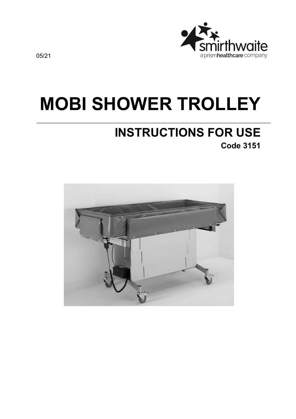

# **MOBI SHOWER TROLLEY**

# **INSTRUCTIONS FOR USE Code 3151**

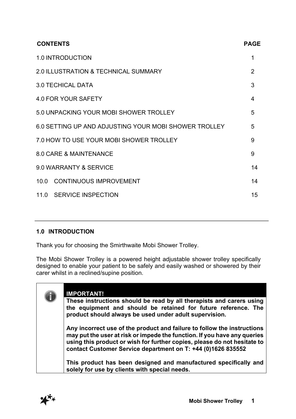| <b>CONTENTS</b>                                       | <b>PAGE</b> |
|-------------------------------------------------------|-------------|
| <b>1.0 INTRODUCTION</b>                               | 1           |
| 2.0 ILLUSTRATION & TECHNICAL SUMMARY                  | 2           |
| <b>3.0 TECHICAL DATA</b>                              | 3           |
| 4.0 FOR YOUR SAFETY                                   | 4           |
| 5.0 UNPACKING YOUR MOBI SHOWER TROLLEY                | 5           |
| 6.0 SETTING UP AND ADJUSTING YOUR MOBI SHOWER TROLLEY | 5           |
| 7.0 HOW TO USE YOUR MOBI SHOWER TROLLEY               | 9           |
| 8.0 CARE & MAINTENANCE                                | 9           |
| 9.0 WARRANTY & SERVICE                                | 14          |
| <b>CONTINUOUS IMPROVEMENT</b><br>10.0                 | 14          |
| 11.0 SERVICE INSPECTION                               | 15          |
|                                                       |             |

# **1.0 INTRODUCTION**

Thank you for choosing the Smirthwaite Mobi Shower Trolley.

The Mobi Shower Trolley is a powered height adjustable shower trolley specifically designed to enable your patient to be safely and easily washed or showered by their carer whilst in a reclined/supine position.

|  | <b>IMPORTANT!</b><br>These instructions should be read by all therapists and carers using<br>the equipment and should be retained for future reference. The<br>product should always be used under adult supervision.                                                                           |
|--|-------------------------------------------------------------------------------------------------------------------------------------------------------------------------------------------------------------------------------------------------------------------------------------------------|
|  | Any incorrect use of the product and failure to follow the instructions<br>may put the user at risk or impede the function. If you have any queries<br>using this product or wish for further copies, please do not hesitate to<br>contact Customer Service department on T: +44 (0)1626 835552 |
|  | This product has been designed and manufactured specifically and<br>solely for use by clients with special needs.                                                                                                                                                                               |

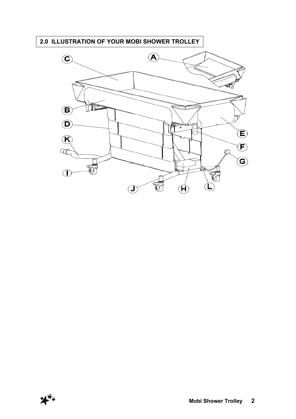# **2.0 ILLUSTRATION OF YOUR MOBI SHOWER TROLLEY**



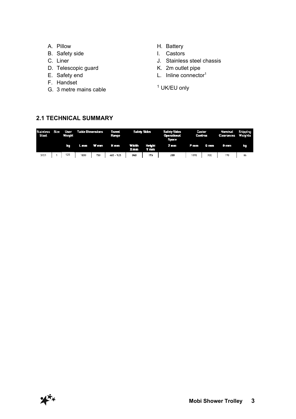- A. Pillow
- B. Safety side
- C. Liner
- D. Telescopic guard
- E. Safety end
- F. Handset
- G. 3 metre mains cable
- H. Battery
- I. Castors
- J. Stainless steel chassis
- K. 2m outlet pipe
- L. Inline connector<sup>1</sup>
- <sup>1</sup> UK/EU only

# **2.1 TECHNICAL SUMMARY**

| <b>Stainless Size</b><br>Steel |  | $\blacksquare$ User<br>Weight | Table Dimensions |         | Travel<br>Range | Safety Sides  |                | <b>Safety Sides</b><br><b>Operational</b><br><b>Space</b> | Castor<br>Centres |              | Nominal<br>Clearances | <b>Shipping</b><br>Weights |
|--------------------------------|--|-------------------------------|------------------|---------|-----------------|---------------|----------------|-----------------------------------------------------------|-------------------|--------------|-----------------------|----------------------------|
|                                |  | E C                           |                  | Lmm Wmm | H <sub>mm</sub> | Width<br>X mm | Height<br>Y mm | <b>Zmm7</b>                                               | P mm              | <b>Circu</b> | े मध्या               | IS.                        |
| 3151                           |  | 125                           | 18D0             | 750     | 465 - 925       | 840           | 195            | 200                                                       | 1090              | 700          | 190                   | 86                         |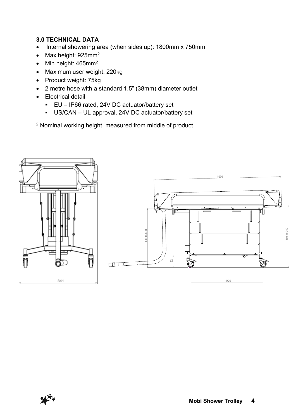# **3.0 TECHNICAL DATA**

- Internal showering area (when sides up): 1800mm x 750mm
- Max height: 925mm<sup>2</sup>
- Min height: 465mm<sup>2</sup>
- Maximum user weight: 220kg
- Product weight: 75kg
- 2 metre hose with a standard 1.5" (38mm) diameter outlet
- Electrical detail:
	- EU IP66 rated, 24V DC actuator/battery set
	- § US/CAN UL approval, 24V DC actuator/battery set

<sup>2</sup> Nominal working height, measured from middle of product

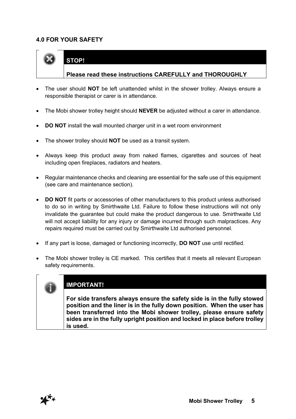# **4.0 FOR YOUR SAFETY**

**STOP!**



#### **Please read these instructions CAREFULLY and THOROUGHLY**

- The user should **NOT** be left unattended whilst in the shower trolley. Always ensure a responsible therapist or carer is in attendance.
- The Mobi shower trolley height should **NEVER** be adjusted without a carer in attendance.
- **DO NOT** install the wall mounted charger unit in a wet room environment
- The shower trolley should **NOT** be used as a transit system.
- Always keep this product away from naked flames, cigarettes and sources of heat including open fireplaces, radiators and heaters.
- Regular maintenance checks and cleaning are essential for the safe use of this equipment (see care and maintenance section).
- **DO NOT** fit parts or accessories of other manufacturers to this product unless authorised to do so in writing by Smirthwaite Ltd. Failure to follow these instructions will not only invalidate the guarantee but could make the product dangerous to use. Smirthwaite Ltd will not accept liability for any injury or damage incurred through such malpractices. Any repairs required must be carried out by Smirthwaite Ltd authorised personnel.
- If any part is loose, damaged or functioning incorrectly, **DO NOT** use until rectified.
- The Mobi shower trolley is CE marked. This certifies that it meets all relevant European safety requirements.

# **IMPORTANT!**

**For side transfers always ensure the safety side is in the fully stowed position and the liner is in the fully down position. When the user has been transferred into the Mobi shower trolley, please ensure safety sides are in the fully upright position and locked in place before trolley is used.**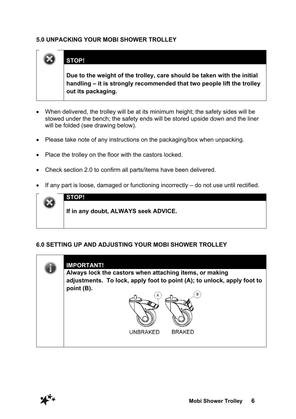# **5.0 UNPACKING YOUR MOBI SHOWER TROLLEY**



# **STOP!**

**Due to the weight of the trolley, care should be taken with the initial handling – it is strongly recommended that two people lift the trolley out its packaging.**

- When delivered, the trolley will be at its minimum height; the safety sides will be stowed under the bench; the safety ends will be stored upside down and the liner will be folded (see drawing below).
- Please take note of any instructions on the packaging/box when unpacking.
- Place the trolley on the floor with the castors locked.
- Check section 2.0 to confirm all parts/items have been delivered.
- If any part is loose, damaged or functioning incorrectly do not use until rectified.



#### **6.0 SETTING UP AND ADJUSTING YOUR MOBI SHOWER TROLLEY**

| <b>IMPORTANT!</b>                                                                                                                  |  |  |  |  |  |  |  |
|------------------------------------------------------------------------------------------------------------------------------------|--|--|--|--|--|--|--|
| Always lock the castors when attaching items, or making<br>adjustments. To lock, apply foot to point (A); to unlock, apply foot to |  |  |  |  |  |  |  |
| point (B).<br>В<br>A                                                                                                               |  |  |  |  |  |  |  |
|                                                                                                                                    |  |  |  |  |  |  |  |
|                                                                                                                                    |  |  |  |  |  |  |  |
| <b>BRAKED</b><br><b>UNBRAKED</b>                                                                                                   |  |  |  |  |  |  |  |

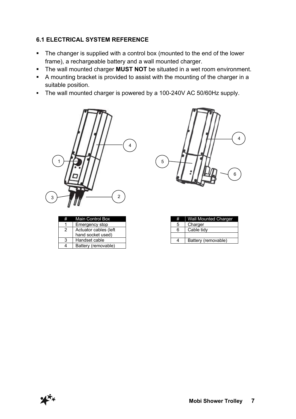# **6.1 ELECTRICAL SYSTEM REFERENCE**

- The changer is supplied with a control box (mounted to the end of the lower frame), a rechargeable battery and a wall mounted charger.
- **•** The wall mounted charger **MUST NOT** be situated in a wet room environment.
- A mounting bracket is provided to assist with the mounting of the charger in a suitable position.
- The wall mounted charger is powered by a 100-240V AC 50/60Hz supply.



|   | <b>Main Control Box</b> |
|---|-------------------------|
|   | Emergency stop          |
| 2 | Actuator cables (left   |
|   | hand socket used)       |
| ว | Handset cable           |
|   | Battery (removable)     |



| # | <b>Wall Mounted Charger</b> |
|---|-----------------------------|
| 5 | Charger                     |
| 6 | Cable tidy                  |
|   |                             |
|   | Battery (removable)         |

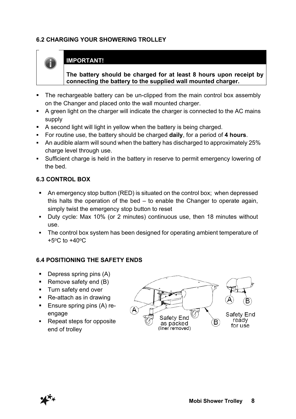# **6.2 CHARGING YOUR SHOWERING TROLLEY**



# **IMPORTANT!**

**The battery should be charged for at least 8 hours upon receipt by connecting the battery to the supplied wall mounted charger.**

- The rechargeable battery can be un-clipped from the main control box assembly on the Changer and placed onto the wall mounted charger.
- A green light on the charger will indicate the charger is connected to the AC mains supply
- A second light will light in yellow when the battery is being charged.
- § For routine use, the battery should be charged **daily**, for a period of **4 hours**.
- An audible alarm will sound when the battery has discharged to approximately 25% charge level through use.
- Sufficient charge is held in the battery in reserve to permit emergency lowering of the bed.

#### **6.3 CONTROL BOX**

- An emergency stop button (RED) is situated on the control box; when depressed this halts the operation of the bed – to enable the Changer to operate again, simply twist the emergency stop button to reset
- § Duty cycle: Max 10% (or 2 minutes) continuous use, then 18 minutes without use.
- The control box system has been designed for operating ambient temperature of  $+5^{\circ}$ C to  $+40^{\circ}$ C

# **6.4 POSITIONING THE SAFETY ENDS**

- Depress spring pins (A)
- Remove safety end  $(B)$
- Turn safety end over
- § Re-attach as in drawing
- Ensure spring pins (A) reengage
- Repeat steps for opposite end of trolley

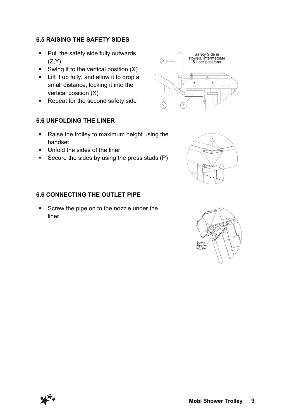# **6.5 RAISING THE SAFETY SIDES**

- Pull the safety side fully outwards  $(Z,Y)$
- Swing it to the vertical position  $(X)$
- Lift it up fully, and allow it to drop a small distance, locking it into the vertical position (X)
- Repeat for the second safety side

# **6.6 UNFOLDING THE LINER**

- Raise the trolley to maximum height using the handset
- Unfold the sides of the liner
- Secure the sides by using the press studs (P)

#### **6.6 CONNECTING THE OUTLET PIPE**

Screw the pipe on to the nozzle under the liner





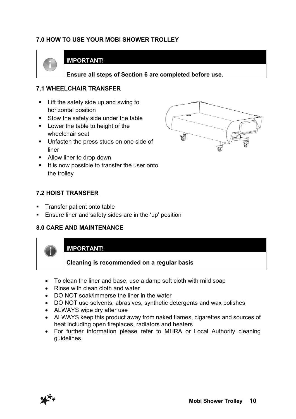# **7.0 HOW TO USE YOUR MOBI SHOWER TROLLEY**



# **IMPORTANT!**

**Ensure all steps of Section 6 are completed before use.**

#### **7.1 WHEELCHAIR TRANSFER**

- Lift the safety side up and swing to horizontal position
- Stow the safety side under the table
- Lower the table to height of the wheelchair seat
- Unfasten the press studs on one side of liner
- Allow liner to drop down
- It is now possible to transfer the user onto the trolley

#### **7.2 HOIST TRANSFER**

- § Transfer patient onto table
- Ensure liner and safety sides are in the 'up' position

#### **8.0 CARE AND MAINTENANCE**



- Rinse with clean cloth and water
- DO NOT soak/immerse the liner in the water
- DO NOT use solvents, abrasives, synthetic detergents and wax polishes
- ALWAYS wipe dry after use
- ALWAYS keep this product away from naked flames, cigarettes and sources of heat including open fireplaces, radiators and heaters
- For further information please refer to MHRA or Local Authority cleaning guidelines



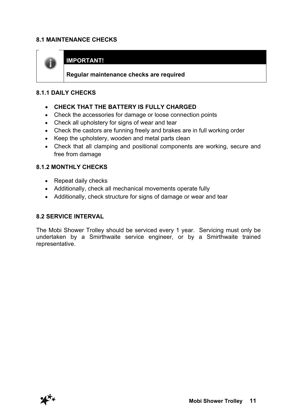# **8.1 MAINTENANCE CHECKS**



# **IMPORTANT!**

**Regular maintenance checks are required**

#### **8.1.1 DAILY CHECKS**

- **CHECK THAT THE BATTERY IS FULLY CHARGED**
- Check the accessories for damage or loose connection points
- Check all upholstery for signs of wear and tear
- Check the castors are funning freely and brakes are in full working order
- Keep the upholstery, wooden and metal parts clean
- Check that all clamping and positional components are working, secure and free from damage

#### **8.1.2 MONTHLY CHECKS**

- Repeat daily checks
- Additionally, check all mechanical movements operate fully
- Additionally, check structure for signs of damage or wear and tear

#### **8.2 SERVICE INTERVAL**

The Mobi Shower Trolley should be serviced every 1 year. Servicing must only be undertaken by a Smirthwaite service engineer, or by a Smirthwaite trained representative.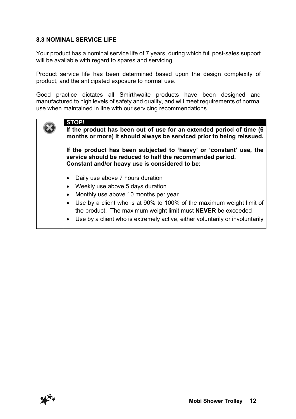# **8.3 NOMINAL SERVICE LIFE**

Your product has a nominal service life of 7 years, during which full post-sales support will be available with regard to spares and servicing.

Product service life has been determined based upon the design complexity of product, and the anticipated exposure to normal use.

Good practice dictates all Smirthwaite products have been designed and manufactured to high levels of safety and quality, and will meet requirements of normal use when maintained in line with our servicing recommendations.

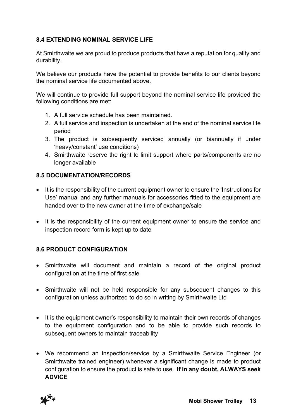# **8.4 EXTENDING NOMINAL SERVICE LIFE**

At Smirthwaite we are proud to produce products that have a reputation for quality and durability.

We believe our products have the potential to provide benefits to our clients beyond the nominal service life documented above.

We will continue to provide full support beyond the nominal service life provided the following conditions are met:

- 1. A full service schedule has been maintained.
- 2. A full service and inspection is undertaken at the end of the nominal service life period
- 3. The product is subsequently serviced annually (or biannually if under 'heavy/constant' use conditions)
- 4. Smirthwaite reserve the right to limit support where parts/components are no longer available

# **8.5 DOCUMENTATION/RECORDS**

- It is the responsibility of the current equipment owner to ensure the 'Instructions for Use' manual and any further manuals for accessories fitted to the equipment are handed over to the new owner at the time of exchange/sale
- It is the responsibility of the current equipment owner to ensure the service and inspection record form is kept up to date

# **8.6 PRODUCT CONFIGURATION**

- Smirthwaite will document and maintain a record of the original product configuration at the time of first sale
- Smirthwaite will not be held responsible for any subsequent changes to this configuration unless authorized to do so in writing by Smirthwaite Ltd
- It is the equipment owner's responsibility to maintain their own records of changes to the equipment configuration and to be able to provide such records to subsequent owners to maintain traceability
- We recommend an inspection/service by a Smirthwaite Service Engineer (or Smirthwaite trained engineer) whenever a significant change is made to product configuration to ensure the product is safe to use. **If in any doubt, ALWAYS seek ADVICE**

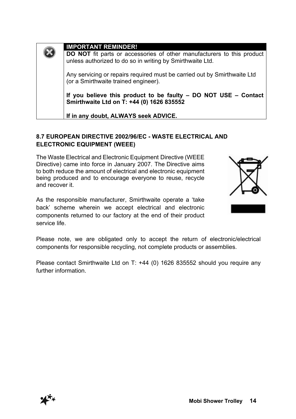| <b>IMPORTANT REMINDER!</b>                                                                                                          |
|-------------------------------------------------------------------------------------------------------------------------------------|
| DO NOT fit parts or accessories of other manufacturers to this product<br>unless authorized to do so in writing by Smirthwaite Ltd. |
| Any servicing or repairs required must be carried out by Smirthwaite Ltd<br>(or a Smirthwaite trained engineer).                    |
| If you believe this product to be faulty - DO NOT USE - Contact<br>Smirthwaite Ltd on T: +44 (0) 1626 835552                        |
| If in any doubt, ALWAYS seek ADVICE.                                                                                                |

# **8.7 EUROPEAN DIRECTIVE 2002/96/EC - WASTE ELECTRICAL AND ELECTRONIC EQUIPMENT (WEEE)**

The Waste Electrical and Electronic Equipment Directive (WEEE Directive) came into force in January 2007. The Directive aims to both reduce the amount of electrical and electronic equipment being produced and to encourage everyone to reuse, recycle and recover it.

As the responsible manufacturer, Smirthwaite operate a 'take back' scheme wherein we accept electrical and electronic components returned to our factory at the end of their product service life.



Please note, we are obligated only to accept the return of electronic/electrical components for responsible recycling, not complete products or assemblies.

Please contact Smirthwaite Ltd on T: +44 (0) 1626 835552 should you require any further information.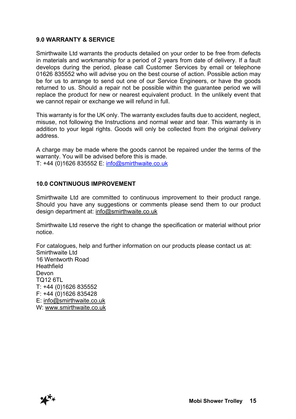#### **9.0 WARRANTY & SERVICE**

Smirthwaite Ltd warrants the products detailed on your order to be free from defects in materials and workmanship for a period of 2 years from date of delivery. If a fault develops during the period, please call Customer Services by email or telephone 01626 835552 who will advise you on the best course of action. Possible action may be for us to arrange to send out one of our Service Engineers, or have the goods returned to us. Should a repair not be possible within the guarantee period we will replace the product for new or nearest equivalent product. In the unlikely event that we cannot repair or exchange we will refund in full.

This warranty is for the UK only. The warranty excludes faults due to accident, neglect, misuse, not following the Instructions and normal wear and tear. This warranty is in addition to your legal rights. Goods will only be collected from the original delivery address.

A charge may be made where the goods cannot be repaired under the terms of the warranty. You will be advised before this is made. T: +44 (0)1626 835552 E: info@smirthwaite.co.uk

#### **10.0 CONTINUOUS IMPROVEMENT**

Smirthwaite Ltd are committed to continuous improvement to their product range. Should you have any suggestions or comments please send them to our product design department at: info@smirthwaite.co.uk

Smirthwaite Ltd reserve the right to change the specification or material without prior notice.

For catalogues, help and further information on our products please contact us at: Smirthwaite Ltd 16 Wentworth Road **Heathfield** Devon TQ12 6TL T: +44 (0)1626 835552 F: +44 (0)1626 835428 E: info@smirthwaite.co.uk W: www.smirthwaite.co.uk